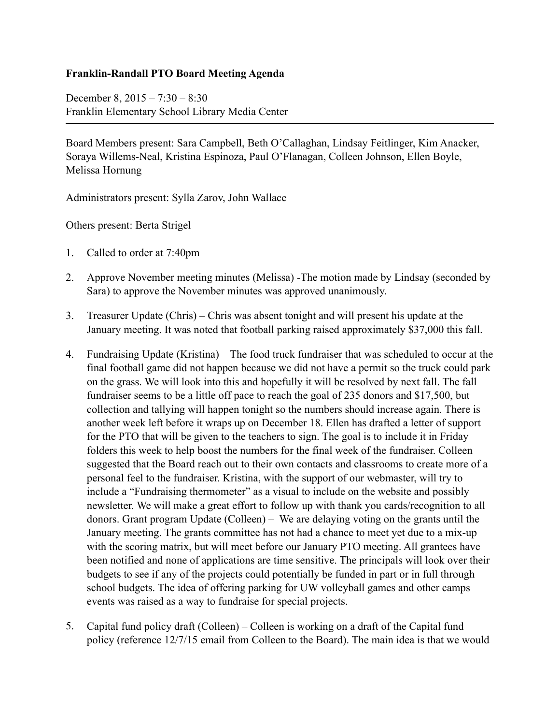## **Franklin-Randall PTO Board Meeting Agenda**

December 8, 2015 – 7:30 – 8:30 Franklin Elementary School Library Media Center

Board Members present: Sara Campbell, Beth O'Callaghan, Lindsay Feitlinger, Kim Anacker, Soraya Willems-Neal, Kristina Espinoza, Paul O'Flanagan, Colleen Johnson, Ellen Boyle, Melissa Hornung

Administrators present: Sylla Zarov, John Wallace

Others present: Berta Strigel

- 1. Called to order at 7:40pm
- 2. Approve November meeting minutes (Melissa) -The motion made by Lindsay (seconded by Sara) to approve the November minutes was approved unanimously.
- 3. Treasurer Update (Chris) Chris was absent tonight and will present his update at the January meeting. It was noted that football parking raised approximately \$37,000 this fall.
- 4. Fundraising Update (Kristina) The food truck fundraiser that was scheduled to occur at the final football game did not happen because we did not have a permit so the truck could park on the grass. We will look into this and hopefully it will be resolved by next fall. The fall fundraiser seems to be a little off pace to reach the goal of 235 donors and \$17,500, but collection and tallying will happen tonight so the numbers should increase again. There is another week left before it wraps up on December 18. Ellen has drafted a letter of support for the PTO that will be given to the teachers to sign. The goal is to include it in Friday folders this week to help boost the numbers for the final week of the fundraiser. Colleen suggested that the Board reach out to their own contacts and classrooms to create more of a personal feel to the fundraiser. Kristina, with the support of our webmaster, will try to include a "Fundraising thermometer" as a visual to include on the website and possibly newsletter. We will make a great effort to follow up with thank you cards/recognition to all donors. Grant program Update (Colleen) – We are delaying voting on the grants until the January meeting. The grants committee has not had a chance to meet yet due to a mix-up with the scoring matrix, but will meet before our January PTO meeting. All grantees have been notified and none of applications are time sensitive. The principals will look over their budgets to see if any of the projects could potentially be funded in part or in full through school budgets. The idea of offering parking for UW volleyball games and other camps events was raised as a way to fundraise for special projects.
- 5. Capital fund policy draft (Colleen) Colleen is working on a draft of the Capital fund policy (reference 12/7/15 email from Colleen to the Board). The main idea is that we would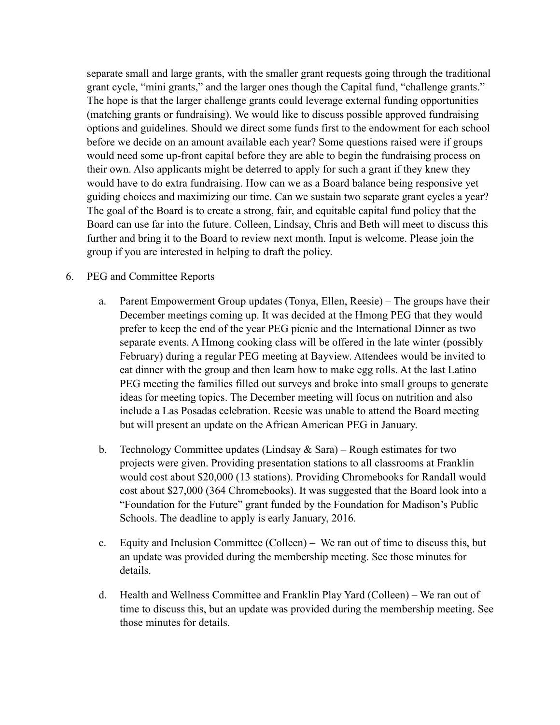separate small and large grants, with the smaller grant requests going through the traditional grant cycle, "mini grants," and the larger ones though the Capital fund, "challenge grants." The hope is that the larger challenge grants could leverage external funding opportunities (matching grants or fundraising). We would like to discuss possible approved fundraising options and guidelines. Should we direct some funds first to the endowment for each school before we decide on an amount available each year? Some questions raised were if groups would need some up-front capital before they are able to begin the fundraising process on their own. Also applicants might be deterred to apply for such a grant if they knew they would have to do extra fundraising. How can we as a Board balance being responsive yet guiding choices and maximizing our time. Can we sustain two separate grant cycles a year? The goal of the Board is to create a strong, fair, and equitable capital fund policy that the Board can use far into the future. Colleen, Lindsay, Chris and Beth will meet to discuss this further and bring it to the Board to review next month. Input is welcome. Please join the group if you are interested in helping to draft the policy.

## 6. PEG and Committee Reports

- a. Parent Empowerment Group updates (Tonya, Ellen, Reesie) The groups have their December meetings coming up. It was decided at the Hmong PEG that they would prefer to keep the end of the year PEG picnic and the International Dinner as two separate events. A Hmong cooking class will be offered in the late winter (possibly February) during a regular PEG meeting at Bayview. Attendees would be invited to eat dinner with the group and then learn how to make egg rolls. At the last Latino PEG meeting the families filled out surveys and broke into small groups to generate ideas for meeting topics. The December meeting will focus on nutrition and also include a Las Posadas celebration. Reesie was unable to attend the Board meeting but will present an update on the African American PEG in January.
- b. Technology Committee updates (Lindsay  $\&$  Sara) Rough estimates for two projects were given. Providing presentation stations to all classrooms at Franklin would cost about \$20,000 (13 stations). Providing Chromebooks for Randall would cost about \$27,000 (364 Chromebooks). It was suggested that the Board look into a "Foundation for the Future" grant funded by the Foundation for Madison's Public Schools. The deadline to apply is early January, 2016.
- c. Equity and Inclusion Committee (Colleen) We ran out of time to discuss this, but an update was provided during the membership meeting. See those minutes for details.
- d. Health and Wellness Committee and Franklin Play Yard (Colleen) We ran out of time to discuss this, but an update was provided during the membership meeting. See those minutes for details.